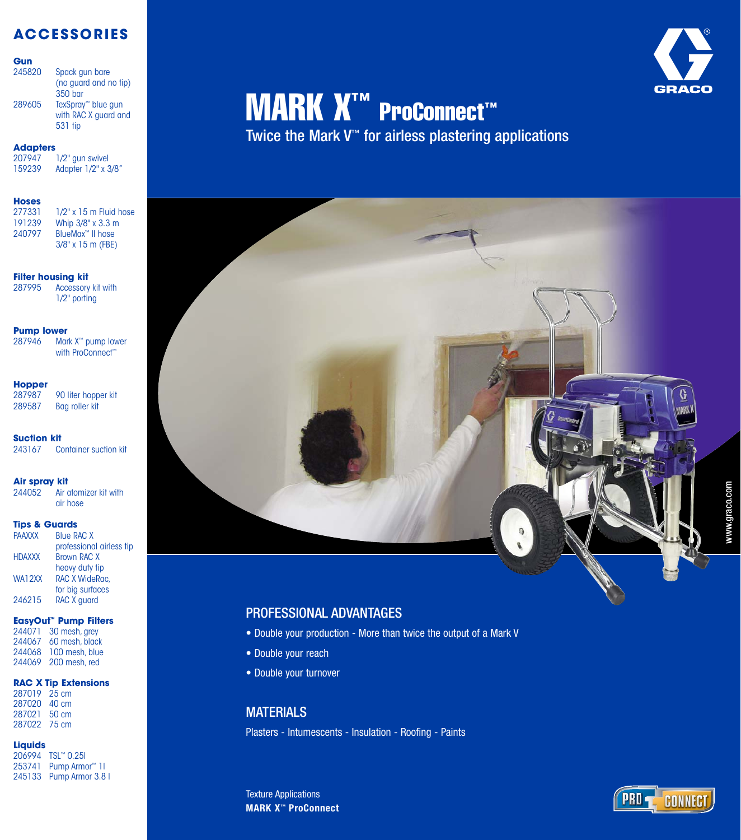# **ACCESSORIES**

## **Gun**

| 245820 | Spack qun bare<br>(no guard and no tip)<br>350 bar                |
|--------|-------------------------------------------------------------------|
| 289605 | TexSpray <sup>™</sup> blue gun<br>with RAC X guard and<br>531 tip |

**Adapters** 207947 1/2" gun swivel<br>159239 Adapter 1/2" x 3 Adapter 1/2" x 3/8"

## **Hoses**

| 277331 | $1/2"$ x 15 m Fluid hose     |
|--------|------------------------------|
| 191239 | Whip 3/8" x 3.3 m            |
| 240797 | BlueMax <sup>™</sup> II hose |
|        | $3/8"$ x 15 m (FBE)          |
|        |                              |

## **Filter housing kit**

287995 Accessory kit with 1/2" porting

## **Pump lower**

287946 Mark X<sup>™</sup> pump lower with ProConnect™

**Hopper**<br>287987 90 liter hopper kit 289587 Bag roller kit

**Suction kit**<br>243167 Co **Container suction kit** 

## **Air spray kit**

244052 Air atomizer kit with air hose

# **Tips & Guards**

|               | .                        |
|---------------|--------------------------|
| <b>PAAXXX</b> | <b>Blue RAC X</b>        |
|               | professional airless tip |
| <b>HDAXXX</b> | <b>Brown RAC X</b>       |
|               | heavy duty tip           |
| WA12XX        | RAC X WideRac.           |
|               | for big surfaces         |
| 246215        | RAC X guard              |
|               |                          |

## **EasyOut ™ Pump Filters**

244071 30 mesh, grey 244067 60 mesh, black 244068 100 mesh, blue 244069 200 mesh, red

## **RAC X Tip Extensions**

287019 25 cm 287020 40 cm 287021 50 cm 287022 75 cm

## **Liquids**

206994 TSL ™ 0.25l 253741 Pump Armor ™ 1l 245133 Pump Armor 3.8 l

# **MARK X<sup>™</sup> ProConnect™**

Twice the Mark V ™ for airless plastering applications

- Double your production More than twice the output of a Mark V
- Double your reach
- Double your turnover

entified on the Maters of the Seast Plasters - Intumescents - Insulation - Roofing - Paints

**MARK X ™ ProConnect** Texture Applications



**GRACO**